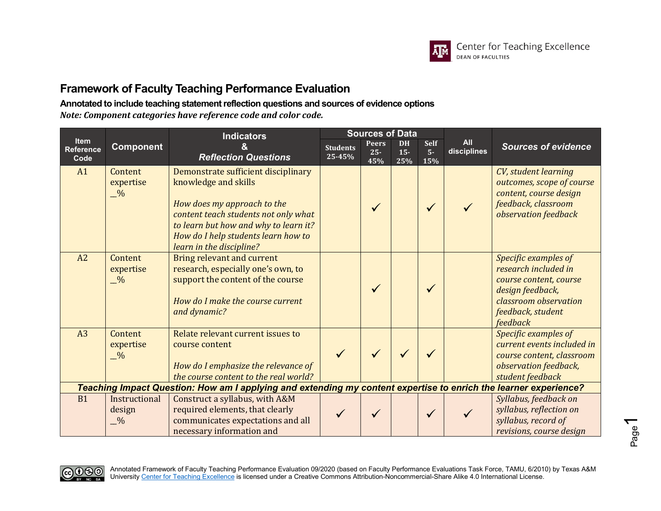

### **Annotated to include teaching statement reflection questions and sources of evidence options**

*Note: Component categories have reference code and color code.*

|                                         |                                       | <b>Indicators</b>                                                                                                                                                                                                                              | <b>Sources of Data</b>    |                               |                            |                             |                           |                                                                                                                                                      |
|-----------------------------------------|---------------------------------------|------------------------------------------------------------------------------------------------------------------------------------------------------------------------------------------------------------------------------------------------|---------------------------|-------------------------------|----------------------------|-----------------------------|---------------------------|------------------------------------------------------------------------------------------------------------------------------------------------------|
| <b>Item</b><br><b>Reference</b><br>Code | <b>Component</b>                      | <b>Reflection Questions</b>                                                                                                                                                                                                                    | <b>Students</b><br>25-45% | <b>Peers</b><br>$25 -$<br>45% | <b>DH</b><br>$15 -$<br>25% | <b>Self</b><br>$5 -$<br>15% | <b>All</b><br>disciplines | <b>Sources of evidence</b>                                                                                                                           |
| A1                                      | Content<br>expertise<br>$\frac{0}{2}$ | Demonstrate sufficient disciplinary<br>knowledge and skills<br>How does my approach to the<br>content teach students not only what<br>to learn but how and why to learn it?<br>How do I help students learn how to<br>learn in the discipline? |                           | $\checkmark$                  |                            | $\checkmark$                |                           | CV, student learning<br>outcomes, scope of course<br>content, course design<br>feedback, classroom<br>observation feedback                           |
| A2                                      | Content<br>expertise<br>$\frac{0}{2}$ | <b>Bring relevant and current</b><br>research, especially one's own, to<br>support the content of the course<br>How do I make the course current<br>and dynamic?                                                                               |                           |                               |                            | ✓                           |                           | Specific examples of<br>research included in<br>course content, course<br>design feedback,<br>classroom observation<br>feedback, student<br>feedback |
| A <sub>3</sub>                          | Content<br>expertise<br>$\frac{0}{2}$ | Relate relevant current issues to<br>course content<br>How do I emphasize the relevance of<br>the course content to the real world?                                                                                                            |                           |                               |                            |                             |                           | Specific examples of<br>current events included in<br>course content, classroom<br>observation feedback,<br>student feedback                         |
|                                         |                                       | Teaching Impact Question: How am I applying and extending my content expertise to enrich the learner experience?                                                                                                                               |                           |                               |                            |                             |                           |                                                                                                                                                      |
| <b>B1</b>                               | Instructional<br>design<br>$-$ %      | Construct a syllabus, with A&M<br>required elements, that clearly<br>communicates expectations and all<br>necessary information and                                                                                                            |                           |                               |                            | $\checkmark$                |                           | Syllabus, feedback on<br>syllabus, reflection on<br>syllabus, record of<br>revisions, course design                                                  |



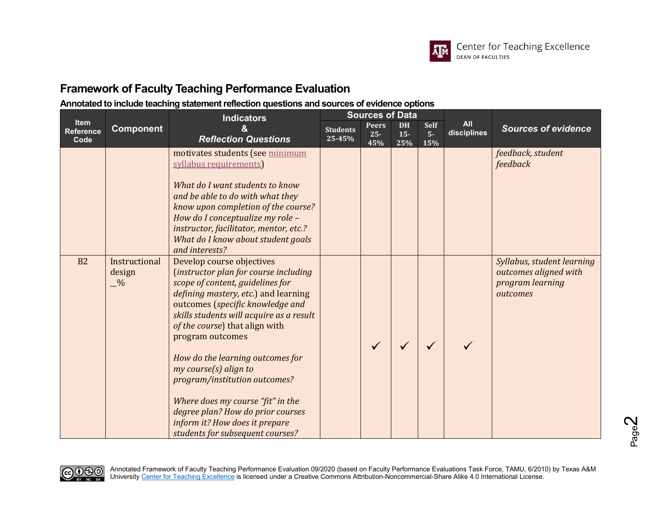

|                                  |                                          | <b>Indicators</b>                                                                                                                                                                                                                                                                                                                                                                                                                                                                                                                  |                           | <b>Sources of Data</b>        |                           |                     |                           | <b>Sources of evidence</b><br>feedback, student<br>feedback<br>Syllabus, student learning<br>outcomes aligned with<br>program learning<br>outcomes |
|----------------------------------|------------------------------------------|------------------------------------------------------------------------------------------------------------------------------------------------------------------------------------------------------------------------------------------------------------------------------------------------------------------------------------------------------------------------------------------------------------------------------------------------------------------------------------------------------------------------------------|---------------------------|-------------------------------|---------------------------|---------------------|---------------------------|----------------------------------------------------------------------------------------------------------------------------------------------------|
| <b>Item</b><br>Reference<br>Code | <b>Component</b>                         | <b>Reflection Questions</b>                                                                                                                                                                                                                                                                                                                                                                                                                                                                                                        | <b>Students</b><br>25-45% | <b>Peers</b><br>$25 -$<br>45% | <b>DH</b><br>$15-$<br>25% | Self<br>$5-$<br>15% | <b>All</b><br>disciplines |                                                                                                                                                    |
|                                  |                                          | motivates students (see minimum<br>syllabus requirements)<br>What do I want students to know<br>and be able to do with what they<br>know upon completion of the course?<br>How do I conceptualize my role -<br>instructor, facilitator, mentor, etc.?<br>What do I know about student goals<br>and interests?                                                                                                                                                                                                                      |                           |                               |                           |                     |                           |                                                                                                                                                    |
| B <sub>2</sub>                   | Instructional<br>design<br>$\frac{0}{2}$ | Develop course objectives<br>(instructor plan for course including<br>scope of content, guidelines for<br>defining mastery, etc.) and learning<br>outcomes (specific knowledge and<br>skills students will acquire as a result<br>of the course) that align with<br>program outcomes<br>How do the learning outcomes for<br>my course(s) align to<br>program/institution outcomes?<br>Where does my course "fit" in the<br>degree plan? How do prior courses<br>inform it? How does it prepare<br>students for subsequent courses? |                           |                               |                           |                     |                           |                                                                                                                                                    |

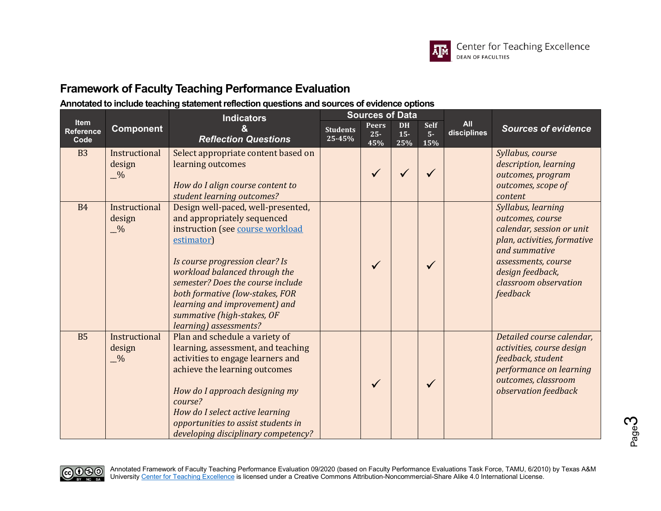

|                                  |                                          | <b>Sources of Data</b><br><b>Indicators</b>                                                                                                                                                                                                                                                                                                              |                           |                               |                            |                            |                           |                                                                                                                                                                                                     |
|----------------------------------|------------------------------------------|----------------------------------------------------------------------------------------------------------------------------------------------------------------------------------------------------------------------------------------------------------------------------------------------------------------------------------------------------------|---------------------------|-------------------------------|----------------------------|----------------------------|---------------------------|-----------------------------------------------------------------------------------------------------------------------------------------------------------------------------------------------------|
| Item<br><b>Reference</b><br>Code | <b>Component</b>                         | <b>Reflection Questions</b>                                                                                                                                                                                                                                                                                                                              | <b>Students</b><br>25-45% | <b>Peers</b><br>$25 -$<br>45% | <b>DH</b><br>$15 -$<br>25% | <b>Self</b><br>$5-$<br>15% | <b>All</b><br>disciplines | <b>Sources of evidence</b>                                                                                                                                                                          |
| <b>B3</b>                        | Instructional<br>design<br>$\frac{0}{2}$ | Select appropriate content based on<br>learning outcomes<br>How do I align course content to<br>student learning outcomes?                                                                                                                                                                                                                               |                           | $\checkmark$                  |                            |                            |                           | Syllabus, course<br>description, learning<br>outcomes, program<br>outcomes, scope of<br>content                                                                                                     |
| <b>B4</b>                        | Instructional<br>design<br>$\frac{0}{2}$ | Design well-paced, well-presented,<br>and appropriately sequenced<br>instruction (see course workload<br>estimator)<br>Is course progression clear? Is<br>workload balanced through the<br>semester? Does the course include<br>both formative (low-stakes, FOR<br>learning and improvement) and<br>summative (high-stakes, OF<br>learning) assessments? |                           | $\checkmark$                  |                            | $\checkmark$               |                           | Syllabus, learning<br>outcomes, course<br>calendar, session or unit<br>plan, activities, formative<br>and summative<br>assessments, course<br>design feedback,<br>classroom observation<br>feedback |
| <b>B5</b>                        | Instructional<br>design<br>$\frac{0}{2}$ | Plan and schedule a variety of<br>learning, assessment, and teaching<br>activities to engage learners and<br>achieve the learning outcomes<br>How do I approach designing my<br>course?<br>How do I select active learning<br>opportunities to assist students in<br>developing disciplinary competency?                                                 |                           |                               |                            | ✓                          |                           | Detailed course calendar,<br>activities, course design<br>feedback, student<br>performance on learning<br>outcomes, classroom<br>observation feedback                                               |

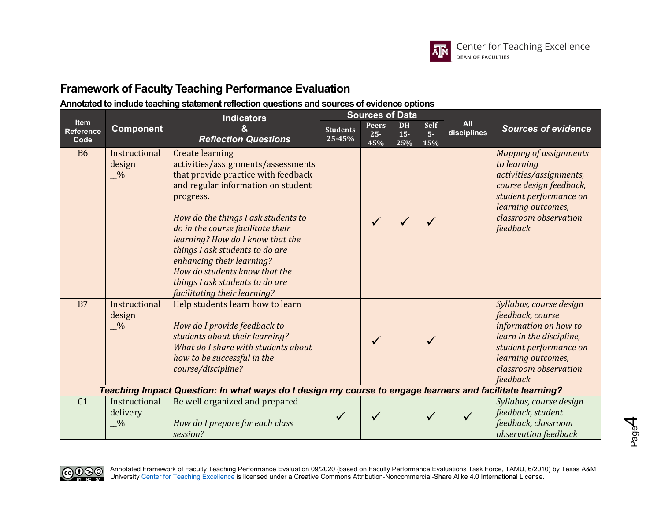

|                                  |                                          | <b>Indicators</b>                                                                                                                                                                                                                                                                                                                                                                                                                          | <b>Sources of Data</b>    |                               |                            |                             |                           |                                                                                                                                                                                         |
|----------------------------------|------------------------------------------|--------------------------------------------------------------------------------------------------------------------------------------------------------------------------------------------------------------------------------------------------------------------------------------------------------------------------------------------------------------------------------------------------------------------------------------------|---------------------------|-------------------------------|----------------------------|-----------------------------|---------------------------|-----------------------------------------------------------------------------------------------------------------------------------------------------------------------------------------|
| Item<br><b>Reference</b><br>Code | <b>Component</b>                         | <b>Reflection Questions</b>                                                                                                                                                                                                                                                                                                                                                                                                                | <b>Students</b><br>25-45% | <b>Peers</b><br>$25 -$<br>45% | <b>DH</b><br>$15 -$<br>25% | <b>Self</b><br>$5 -$<br>15% | <b>All</b><br>disciplines | <b>Sources of evidence</b>                                                                                                                                                              |
| <b>B6</b>                        | Instructional<br>design<br>$\frac{0}{2}$ | <b>Create learning</b><br>activities/assignments/assessments<br>that provide practice with feedback<br>and regular information on student<br>progress.<br>How do the things I ask students to<br>do in the course facilitate their<br>learning? How do I know that the<br>things I ask students to do are<br>enhancing their learning?<br>How do students know that the<br>things I ask students to do are<br>facilitating their learning? |                           | $\checkmark$                  |                            |                             |                           | <b>Mapping of assignments</b><br>to learning<br>activities/assignments,<br>course design feedback,<br>student performance on<br>learning outcomes,<br>classroom observation<br>feedback |
| B7                               | Instructional<br>design<br>$\frac{0}{2}$ | Help students learn how to learn<br>How do I provide feedback to<br>students about their learning?<br>What do I share with students about<br>how to be successful in the<br>course/discipline?                                                                                                                                                                                                                                             |                           | ✓                             |                            | $\checkmark$                |                           | Syllabus, course design<br>feedback, course<br>information on how to<br>learn in the discipline,<br>student performance on<br>learning outcomes,<br>classroom observation<br>feedback   |
|                                  |                                          | Teaching Impact Question: In what ways do I design my course to engage learners and facilitate learning?                                                                                                                                                                                                                                                                                                                                   |                           |                               |                            |                             |                           |                                                                                                                                                                                         |
| C <sub>1</sub>                   | Instructional<br>delivery<br>$-9/0$      | Be well organized and prepared<br>How do I prepare for each class<br>session?                                                                                                                                                                                                                                                                                                                                                              |                           |                               |                            |                             |                           | Syllabus, course design<br>feedback, student<br>feedback, classroom<br>observation feedback                                                                                             |

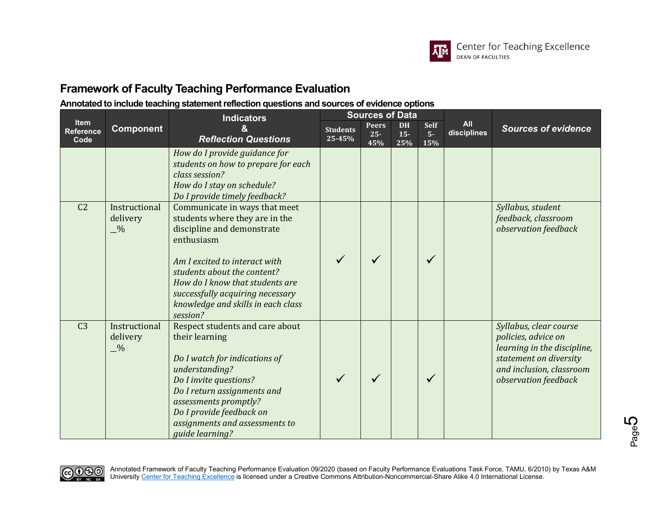

|                                         | Indicators                                 |                                                                                                                                                                                                                                                                                                      |                           | <b>Sources of Data</b>        |                            |                            |                           |                                                                                                                                                            |
|-----------------------------------------|--------------------------------------------|------------------------------------------------------------------------------------------------------------------------------------------------------------------------------------------------------------------------------------------------------------------------------------------------------|---------------------------|-------------------------------|----------------------------|----------------------------|---------------------------|------------------------------------------------------------------------------------------------------------------------------------------------------------|
| <b>Item</b><br><b>Reference</b><br>Code | <b>Component</b>                           | <b>Reflection Questions</b>                                                                                                                                                                                                                                                                          | <b>Students</b><br>25-45% | <b>Peers</b><br>$25 -$<br>45% | <b>DH</b><br>$15 -$<br>25% | <b>Self</b><br>$5-$<br>15% | <b>All</b><br>disciplines | <b>Sources of evidence</b>                                                                                                                                 |
|                                         |                                            | How do I provide guidance for<br>students on how to prepare for each<br>class session?<br>How do I stay on schedule?<br>Do I provide timely feedback?                                                                                                                                                |                           |                               |                            |                            |                           |                                                                                                                                                            |
| C <sub>2</sub>                          | Instructional<br>delivery<br>$\frac{0}{2}$ | Communicate in ways that meet<br>students where they are in the<br>discipline and demonstrate<br>enthusiasm<br>Am I excited to interact with<br>students about the content?<br>How do I know that students are<br>successfully acquiring necessary<br>knowledge and skills in each class<br>session? |                           |                               |                            | $\checkmark$               |                           | Syllabus, student<br>feedback, classroom<br>observation feedback                                                                                           |
| C <sub>3</sub>                          | Instructional<br>delivery<br>$\frac{0}{2}$ | Respect students and care about<br>their learning<br>Do I watch for indications of<br>understanding?<br>Do I invite questions?<br>Do I return assignments and<br>assessments promptly?<br>Do I provide feedback on<br>assignments and assessments to<br>guide learning?                              |                           |                               |                            | $\checkmark$               |                           | Syllabus, clear course<br>policies, advice on<br>learning in the discipline,<br>statement on diversity<br>and inclusion, classroom<br>observation feedback |

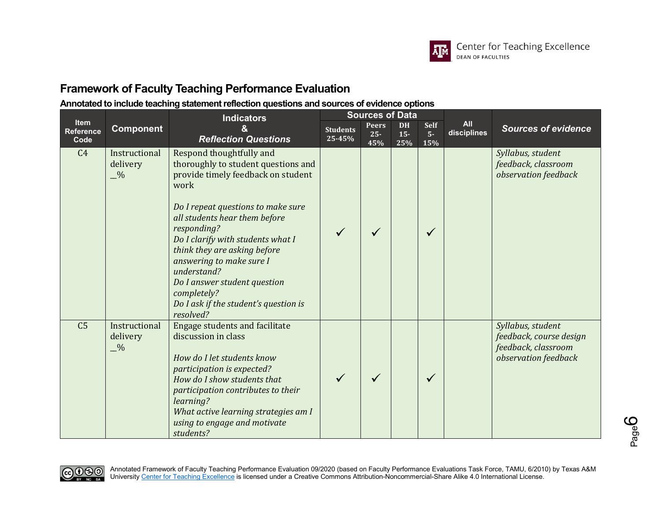

|                                  | <b>Sources of Data</b><br><b>Indicators</b> |                                                                                                                                                                                                                                                                                                                                                                                                                          |                           |                               |                            |                            |                           |                                                                                             |
|----------------------------------|---------------------------------------------|--------------------------------------------------------------------------------------------------------------------------------------------------------------------------------------------------------------------------------------------------------------------------------------------------------------------------------------------------------------------------------------------------------------------------|---------------------------|-------------------------------|----------------------------|----------------------------|---------------------------|---------------------------------------------------------------------------------------------|
| Item<br><b>Reference</b><br>Code | <b>Component</b>                            | &<br><b>Reflection Questions</b>                                                                                                                                                                                                                                                                                                                                                                                         | <b>Students</b><br>25-45% | <b>Peers</b><br>$25 -$<br>45% | <b>DH</b><br>$15 -$<br>25% | <b>Self</b><br>$5-$<br>15% | <b>All</b><br>disciplines | <b>Sources of evidence</b>                                                                  |
| C <sub>4</sub>                   | Instructional<br>delivery<br>$-$ %          | Respond thoughtfully and<br>thoroughly to student questions and<br>provide timely feedback on student<br>work<br>Do I repeat questions to make sure<br>all students hear them before<br>responding?<br>Do I clarify with students what I<br>think they are asking before<br>answering to make sure I<br>understand?<br>Do I answer student question<br>completely?<br>Do I ask if the student's question is<br>resolved? |                           |                               |                            | $\checkmark$               |                           | Syllabus, student<br>feedback, classroom<br>observation feedback                            |
| C <sub>5</sub>                   | Instructional<br>delivery<br>$-$ %          | <b>Engage students and facilitate</b><br>discussion in class<br>How do I let students know<br>participation is expected?<br>How do I show students that<br>participation contributes to their<br>learning?<br>What active learning strategies am I<br>using to engage and motivate<br>students?                                                                                                                          |                           |                               |                            | $\checkmark$               |                           | Syllabus, student<br>feedback, course design<br>feedback, classroom<br>observation feedback |

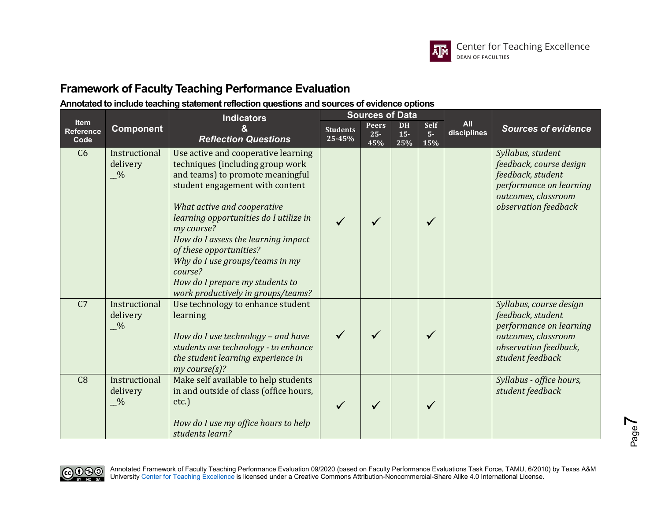

|                                  |                                            | <b>Indicators</b>                                                                                                                                                                                                                                                                                                                                                                                                              |                           | <b>Sources of Data</b>        |                            |                            |                           |                                                                                                                                             |
|----------------------------------|--------------------------------------------|--------------------------------------------------------------------------------------------------------------------------------------------------------------------------------------------------------------------------------------------------------------------------------------------------------------------------------------------------------------------------------------------------------------------------------|---------------------------|-------------------------------|----------------------------|----------------------------|---------------------------|---------------------------------------------------------------------------------------------------------------------------------------------|
| Item<br><b>Reference</b><br>Code | <b>Component</b>                           | <b>Reflection Questions</b>                                                                                                                                                                                                                                                                                                                                                                                                    | <b>Students</b><br>25-45% | <b>Peers</b><br>$25 -$<br>45% | <b>DH</b><br>$15 -$<br>25% | <b>Self</b><br>$5-$<br>15% | <b>All</b><br>disciplines | <b>Sources of evidence</b>                                                                                                                  |
| C <sub>6</sub>                   | Instructional<br>delivery<br>$\frac{0}{2}$ | Use active and cooperative learning<br>techniques (including group work<br>and teams) to promote meaningful<br>student engagement with content<br>What active and cooperative<br>learning opportunities do I utilize in<br>my course?<br>How do I assess the learning impact<br>of these opportunities?<br>Why do I use groups/teams in my<br>course?<br>How do I prepare my students to<br>work productively in groups/teams? |                           |                               |                            | $\checkmark$               |                           | Syllabus, student<br>feedback, course design<br>feedback, student<br>performance on learning<br>outcomes, classroom<br>observation feedback |
| C <sub>7</sub>                   | Instructional<br>delivery<br>$\frac{0}{2}$ | Use technology to enhance student<br>learning<br>How do I use technology - and have<br>students use technology - to enhance<br>the student learning experience in<br>my course(s)?                                                                                                                                                                                                                                             |                           |                               |                            |                            |                           | Syllabus, course design<br>feedback, student<br>performance on learning<br>outcomes, classroom<br>observation feedback,<br>student feedback |
| C8                               | Instructional<br>delivery<br>$\frac{0}{2}$ | Make self available to help students<br>in and outside of class (office hours,<br>etc.<br>How do I use my office hours to help<br>students learn?                                                                                                                                                                                                                                                                              |                           |                               |                            | $\checkmark$               |                           | Syllabus - office hours,<br>student feedback                                                                                                |

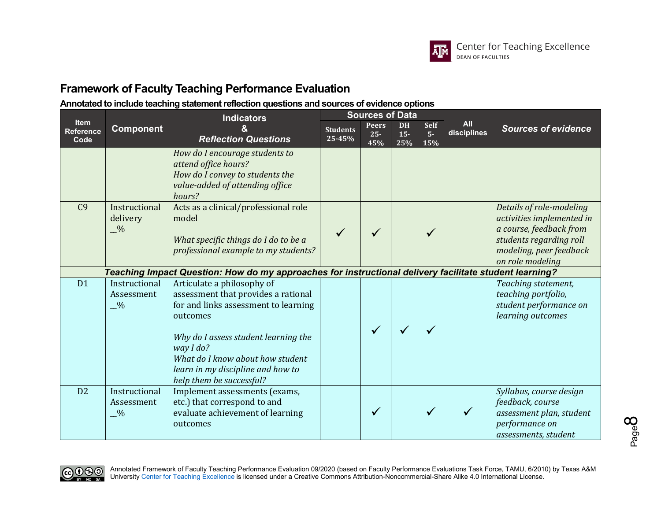

|                                  |                                            | <b>Indicators</b>                                                                                                                                                                                                                                                               |                           | <b>Sources of Data</b>        |                            |                            |                           |                                                                                                                                                                                                                                        |
|----------------------------------|--------------------------------------------|---------------------------------------------------------------------------------------------------------------------------------------------------------------------------------------------------------------------------------------------------------------------------------|---------------------------|-------------------------------|----------------------------|----------------------------|---------------------------|----------------------------------------------------------------------------------------------------------------------------------------------------------------------------------------------------------------------------------------|
| Item<br><b>Reference</b><br>Code | <b>Component</b>                           | <b>Reflection Questions</b>                                                                                                                                                                                                                                                     | <b>Students</b><br>25-45% | <b>Peers</b><br>$25 -$<br>45% | <b>DH</b><br>$15 -$<br>25% | <b>Self</b><br>$5-$<br>15% | <b>All</b><br>disciplines | <b>Sources of evidence</b><br>Details of role-modeling<br>activities implemented in<br>a course, feedback from<br>students regarding roll<br>modeling, peer feedback<br>on role modeling<br>Teaching statement,<br>teaching portfolio, |
|                                  |                                            | How do I encourage students to<br>attend office hours?<br>How do I convey to students the<br>value-added of attending office<br>hours?                                                                                                                                          |                           |                               |                            |                            |                           |                                                                                                                                                                                                                                        |
| C <sub>9</sub>                   | Instructional<br>delivery<br>$\frac{0}{2}$ | Acts as a clinical/professional role<br>model<br>What specific things do I do to be a<br>professional example to my students?                                                                                                                                                   |                           |                               |                            |                            |                           |                                                                                                                                                                                                                                        |
|                                  |                                            | Teaching Impact Question: How do my approaches for instructional delivery facilitate student learning?                                                                                                                                                                          |                           |                               |                            |                            |                           |                                                                                                                                                                                                                                        |
| D <sub>1</sub>                   | Instructional<br>Assessment<br>$\sqrt{6}$  | Articulate a philosophy of<br>assessment that provides a rational<br>for and links assessment to learning<br>outcomes<br>Why do I assess student learning the<br>way I do?<br>What do I know about how student<br>learn in my discipline and how to<br>help them be successful? |                           |                               |                            | ✓                          |                           | student performance on<br>learning outcomes                                                                                                                                                                                            |
| D2                               | Instructional<br>Assessment<br>$-$ %       | Implement assessments (exams,<br>etc.) that correspond to and<br>evaluate achievement of learning<br>outcomes                                                                                                                                                                   |                           |                               |                            | ✓                          |                           | Syllabus, course design<br>feedback, course<br>assessment plan, student<br>performance on<br>assessments, student                                                                                                                      |

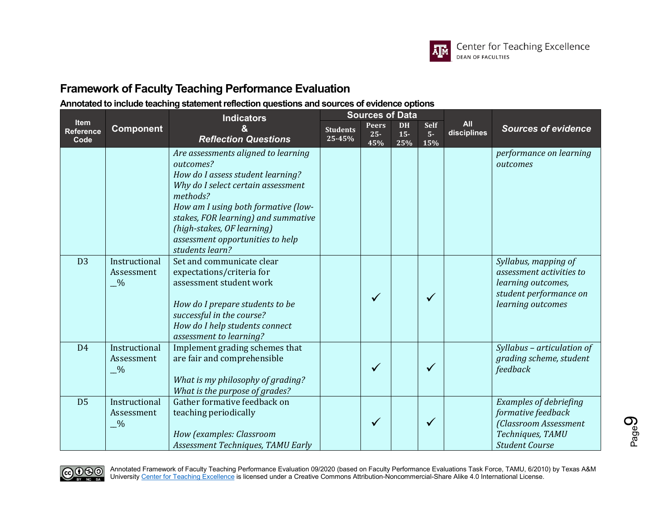

#### **Annotated to include teaching statement reflection questions and sources of evidence options**

|                                         |                                              | <b>Indicators</b>                                                                                                                                                                                                                                                                                          | <b>Sources of Data</b>    |                               |                            |                     |                           |                                                                                                                           |
|-----------------------------------------|----------------------------------------------|------------------------------------------------------------------------------------------------------------------------------------------------------------------------------------------------------------------------------------------------------------------------------------------------------------|---------------------------|-------------------------------|----------------------------|---------------------|---------------------------|---------------------------------------------------------------------------------------------------------------------------|
| <b>Item</b><br><b>Reference</b><br>Code | <b>Component</b>                             | <b>Reflection Questions</b>                                                                                                                                                                                                                                                                                | <b>Students</b><br>25-45% | <b>Peers</b><br>$25 -$<br>45% | <b>DH</b><br>$15 -$<br>25% | Self<br>$5-$<br>15% | <b>All</b><br>disciplines | <b>Sources of evidence</b>                                                                                                |
|                                         |                                              | Are assessments aligned to learning<br>outcomes?<br>How do I assess student learning?<br>Why do I select certain assessment<br>methods?<br>How am I using both formative (low-<br>stakes, FOR learning) and summative<br>(high-stakes, OF learning)<br>assessment opportunities to help<br>students learn? |                           |                               |                            |                     |                           | performance on learning<br>outcomes                                                                                       |
| D <sub>3</sub>                          | Instructional<br>Assessment<br>$\frac{0}{2}$ | Set and communicate clear<br>expectations/criteria for<br>assessment student work<br>How do I prepare students to be<br>successful in the course?<br>How do I help students connect<br>assessment to learning?                                                                                             |                           | $\checkmark$                  |                            | $\checkmark$        |                           | Syllabus, mapping of<br>assessment activities to<br>learning outcomes,<br>student performance on<br>learning outcomes     |
| D <sub>4</sub>                          | Instructional<br>Assessment<br>$\frac{0}{2}$ | Implement grading schemes that<br>are fair and comprehensible<br>What is my philosophy of grading?<br>What is the purpose of grades?                                                                                                                                                                       |                           | $\checkmark$                  |                            |                     |                           | Syllabus - articulation of<br>grading scheme, student<br>feedback                                                         |
| D <sub>5</sub>                          | Instructional<br>Assessment<br>$\frac{0}{2}$ | Gather formative feedback on<br>teaching periodically<br>How (examples: Classroom<br>Assessment Techniques, TAMU Early                                                                                                                                                                                     |                           | $\checkmark$                  |                            |                     |                           | <b>Examples of debriefing</b><br>formative feedback<br>(Classroom Assessment<br>Techniques, TAMU<br><b>Student Course</b> |

CO 1990

Annotated Framework of Faculty Teaching Performance Evaluation 09/2020 (based on Faculty Performance Evaluations Task Force, TAMU, 6/2010) by Texas A&M University <u>Center for Teaching Excellence</u> is licensed under a Creative Commons Attribution-Noncommercial-Share Alike 4.0 International License.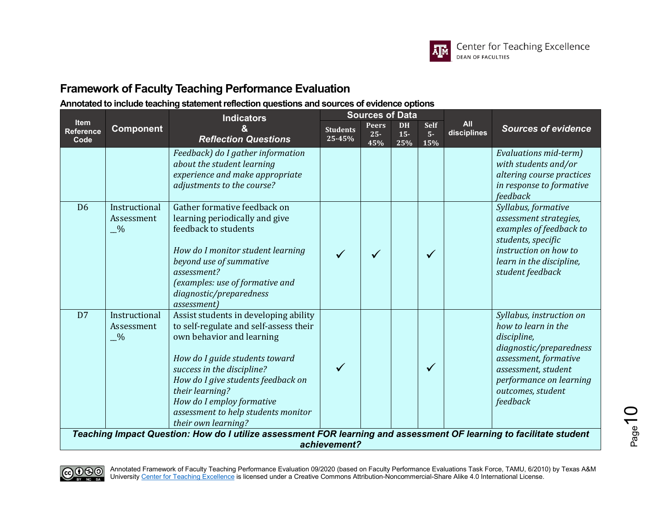

### **Annotated to include teaching statement reflection questions and sources of evidence options**

|                                                                                                                                     |                                              | <b>Indicators</b>                                                                                                                                                                                                                                                                                                                |                           | <b>Sources of Data</b>        |                            |                            |                           |                                                                                                                                                                                                       |
|-------------------------------------------------------------------------------------------------------------------------------------|----------------------------------------------|----------------------------------------------------------------------------------------------------------------------------------------------------------------------------------------------------------------------------------------------------------------------------------------------------------------------------------|---------------------------|-------------------------------|----------------------------|----------------------------|---------------------------|-------------------------------------------------------------------------------------------------------------------------------------------------------------------------------------------------------|
| <b>Item</b><br><b>Reference</b><br>Code                                                                                             | <b>Component</b>                             | <b>Reflection Questions</b>                                                                                                                                                                                                                                                                                                      | <b>Students</b><br>25-45% | <b>Peers</b><br>$25 -$<br>45% | <b>DH</b><br>$15 -$<br>25% | <b>Self</b><br>$5-$<br>15% | <b>All</b><br>disciplines | <b>Sources of evidence</b>                                                                                                                                                                            |
|                                                                                                                                     |                                              | Feedback) do I gather information<br>about the student learning<br>experience and make appropriate<br>adjustments to the course?                                                                                                                                                                                                 |                           |                               |                            |                            |                           | Evaluations mid-term)<br>with students and/or<br>altering course practices<br>in response to formative<br>feedback                                                                                    |
| D <sub>6</sub>                                                                                                                      | Instructional<br>Assessment<br>$\frac{0}{2}$ | Gather formative feedback on<br>learning periodically and give<br>feedback to students<br>How do I monitor student learning<br>beyond use of summative<br>assessment?<br>(examples: use of formative and<br>diagnostic/preparedness<br>assessment)                                                                               |                           |                               |                            | $\checkmark$               |                           | Syllabus, formative<br>assessment strategies,<br>examples of feedback to<br>students, specific<br>instruction on how to<br>learn in the discipline,<br>student feedback                               |
| D7                                                                                                                                  | Instructional<br>Assessment<br>$\sqrt{6}$    | Assist students in developing ability<br>to self-regulate and self-assess their<br>own behavior and learning<br>How do I guide students toward<br>success in the discipline?<br>How do I give students feedback on<br>their learning?<br>How do I employ formative<br>assessment to help students monitor<br>their own learning? |                           |                               |                            | $\sqrt{}$                  |                           | Syllabus, instruction on<br>how to learn in the<br>discipline,<br>diagnostic/preparedness<br>assessment, formative<br>assessment, student<br>performance on learning<br>outcomes, student<br>feedback |
| Teaching Impact Question: How do I utilize assessment FOR learning and assessment OF learning to facilitate student<br>achievement? |                                              |                                                                                                                                                                                                                                                                                                                                  |                           |                               |                            |                            |                           |                                                                                                                                                                                                       |



Annotated Framework of Faculty Teaching Performance Evaluation 09/2020 (based on Faculty Performance Evaluations Task Force, TAMU, 6/2010) by Texas A&M University <u>Center for Teaching Excellence</u> is licensed under a Creative Commons Attribution-Noncommercial-Share Alike 4.0 International License.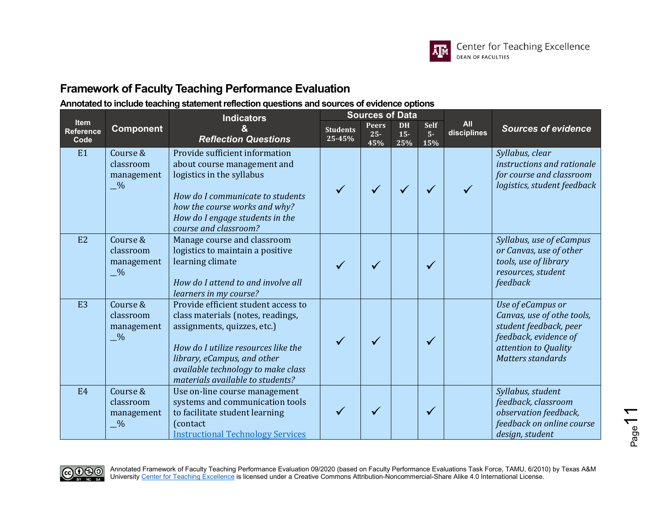

|                                  |                                                      | <b>Indicators</b>                                                                                                                                                                                                                                       |                           | <b>Sources of Data</b>        |                            |                            |                           |                                                                                                                                                 |
|----------------------------------|------------------------------------------------------|---------------------------------------------------------------------------------------------------------------------------------------------------------------------------------------------------------------------------------------------------------|---------------------------|-------------------------------|----------------------------|----------------------------|---------------------------|-------------------------------------------------------------------------------------------------------------------------------------------------|
| Item<br><b>Reference</b><br>Code | <b>Component</b>                                     | <b>Reflection Questions</b>                                                                                                                                                                                                                             | <b>Students</b><br>25-45% | <b>Peers</b><br>$25 -$<br>45% | <b>DH</b><br>$15 -$<br>25% | <b>Self</b><br>$5-$<br>15% | <b>All</b><br>disciplines | <b>Sources of evidence</b>                                                                                                                      |
| E1                               | Course &<br>classroom<br>management<br>$\frac{0}{2}$ | Provide sufficient information<br>about course management and<br>logistics in the syllabus<br>How do I communicate to students<br>how the course works and why?<br>How do I engage students in the<br>course and classroom?                             |                           |                               |                            |                            |                           | Syllabus, clear<br>instructions and rationale<br>for course and classroom<br>logistics, student feedback                                        |
| E2                               | Course &<br>classroom<br>management<br>$\frac{0}{2}$ | Manage course and classroom<br>logistics to maintain a positive<br>learning climate<br>How do I attend to and involve all<br>learners in my course?                                                                                                     |                           |                               |                            |                            |                           | Syllabus, use of eCampus<br>or Canvas, use of other<br>tools, use of library<br>resources, student<br>feedback                                  |
| E <sub>3</sub>                   | Course &<br>classroom<br>management<br>$\frac{0}{2}$ | Provide efficient student access to<br>class materials (notes, readings,<br>assignments, quizzes, etc.)<br>How do I utilize resources like the<br>library, eCampus, and other<br>available technology to make class<br>materials available to students? |                           |                               |                            |                            |                           | Use of eCampus or<br>Canvas, use of othe tools,<br>student feedback, peer<br>feedback, evidence of<br>attention to Quality<br>Matters standards |
| E4                               | Course &<br>classroom<br>management<br>$\frac{0}{2}$ | Use on-line course management<br>systems and communication tools<br>to facilitate student learning<br>(contact)<br><b>Instructional Technology Services</b>                                                                                             |                           |                               |                            |                            |                           | Syllabus, student<br>feedback, classroom<br>observation feedback,<br>feedback on online course<br>design, student                               |

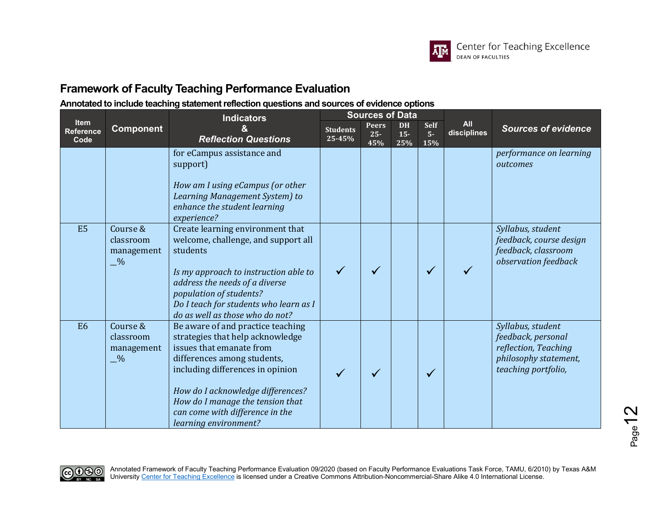

|                                         |                                                      | <b>Indicators</b>                                                                                                                                                                                                                                                                                         |                           | <b>Sources of Data</b>        |                            |                            |                           | <b>Sources of evidence</b><br>performance on learning<br>outcomes<br>Syllabus, student<br>feedback, course design |
|-----------------------------------------|------------------------------------------------------|-----------------------------------------------------------------------------------------------------------------------------------------------------------------------------------------------------------------------------------------------------------------------------------------------------------|---------------------------|-------------------------------|----------------------------|----------------------------|---------------------------|-------------------------------------------------------------------------------------------------------------------|
| <b>Item</b><br><b>Reference</b><br>Code | <b>Component</b>                                     | <b>Reflection Questions</b>                                                                                                                                                                                                                                                                               | <b>Students</b><br>25-45% | <b>Peers</b><br>$25 -$<br>45% | <b>DH</b><br>$15 -$<br>25% | <b>Self</b><br>$5-$<br>15% | <b>All</b><br>disciplines |                                                                                                                   |
|                                         |                                                      | for eCampus assistance and<br>support)<br>How am I using eCampus (or other<br>Learning Management System) to<br>enhance the student learning<br>experience?                                                                                                                                               |                           |                               |                            |                            |                           |                                                                                                                   |
| E <sub>5</sub>                          | Course &<br>classroom<br>management<br>$-$ %         | Create learning environment that<br>welcome, challenge, and support all<br>students<br>Is my approach to instruction able to<br>address the needs of a diverse<br>population of students?<br>Do I teach for students who learn as I<br>do as well as those who do not?                                    |                           |                               |                            | $\checkmark$               |                           | feedback, classroom<br>observation feedback                                                                       |
| E <sub>6</sub>                          | Course &<br>classroom<br>management<br>$\frac{0}{2}$ | Be aware of and practice teaching<br>strategies that help acknowledge<br>issues that emanate from<br>differences among students,<br>including differences in opinion<br>How do I acknowledge differences?<br>How do I manage the tension that<br>can come with difference in the<br>learning environment? |                           |                               |                            |                            |                           | Syllabus, student<br>feedback, personal<br>reflection, Teaching<br>philosophy statement,<br>teaching portfolio,   |

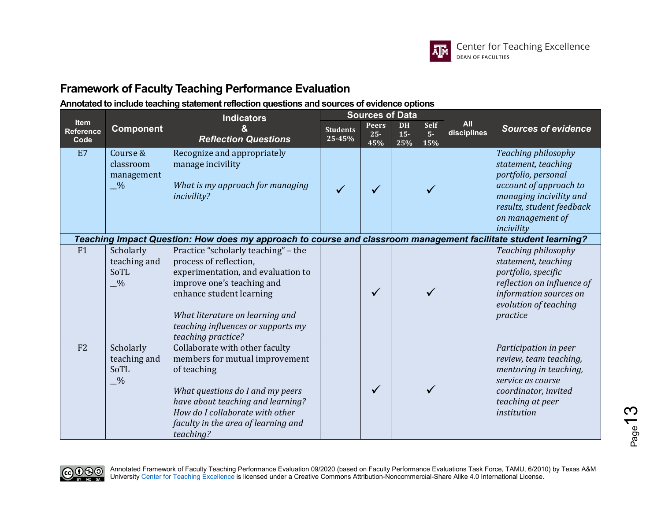

|                                  | <b>Component</b>                                     | <b>Indicators</b><br><b>Reflection Questions</b>                                                                                                                                                                                                             |                           | <b>Sources of Data</b>        |                            |                             | <b>All</b><br>disciplines |                                                                                                                                                                                       |
|----------------------------------|------------------------------------------------------|--------------------------------------------------------------------------------------------------------------------------------------------------------------------------------------------------------------------------------------------------------------|---------------------------|-------------------------------|----------------------------|-----------------------------|---------------------------|---------------------------------------------------------------------------------------------------------------------------------------------------------------------------------------|
| Item<br><b>Reference</b><br>Code |                                                      |                                                                                                                                                                                                                                                              | <b>Students</b><br>25-45% | <b>Peers</b><br>$25 -$<br>45% | <b>DH</b><br>$15 -$<br>25% | <b>Self</b><br>$5 -$<br>15% |                           | <b>Sources of evidence</b>                                                                                                                                                            |
| E7                               | Course &<br>classroom<br>management<br>$\frac{0}{2}$ | Recognize and appropriately<br>manage incivility<br>What is my approach for managing<br>incivility?                                                                                                                                                          |                           |                               |                            |                             |                           | Teaching philosophy<br>statement, teaching<br>portfolio, personal<br>account of approach to<br>managing incivility and<br>results, student feedback<br>on management of<br>incivility |
|                                  |                                                      | Teaching Impact Question: How does my approach to course and classroom management facilitate student learning?                                                                                                                                               |                           |                               |                            |                             |                           |                                                                                                                                                                                       |
| F1                               | Scholarly<br>teaching and<br>SoTL<br>$-$ %           | Practice "scholarly teaching" - the<br>process of reflection,<br>experimentation, and evaluation to<br>improve one's teaching and<br>enhance student learning<br>What literature on learning and<br>teaching influences or supports my<br>teaching practice? |                           | ✓                             |                            |                             |                           | Teaching philosophy<br>statement, teaching<br>portfolio, specific<br>reflection on influence of<br>information sources on<br>evolution of teaching<br>practice                        |
| F <sub>2</sub>                   | Scholarly<br>teaching and<br>SoTL<br>$-$ %           | Collaborate with other faculty<br>members for mutual improvement<br>of teaching<br>What questions do I and my peers<br>have about teaching and learning?<br>How do I collaborate with other<br>faculty in the area of learning and<br>teaching?              |                           | ✓                             |                            |                             |                           | Participation in peer<br>review, team teaching,<br>mentoring in teaching,<br>service as course<br>coordinator, invited<br>teaching at peer<br>institution                             |

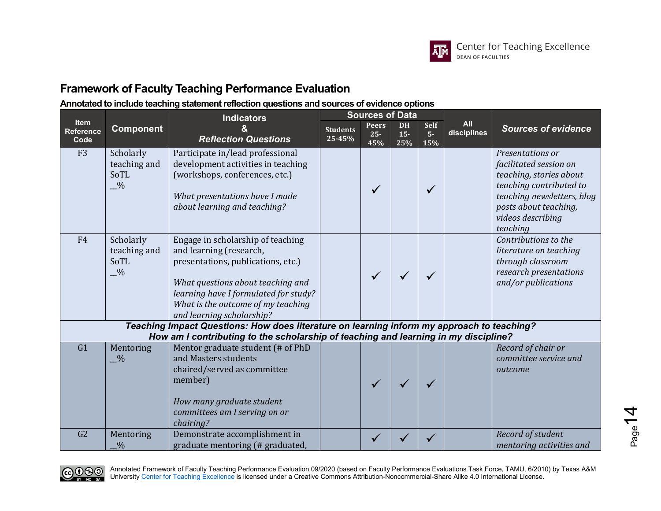

### **Annotated to include teaching statement reflection questions and sources of evidence options**

|                                                                                                                                                                                   | <b>Component</b>                                   | Indicators<br><b>Reflection Questions</b>                                                                                                                                                                                                           |                           | <b>Sources of Data</b>        |                           |                             | <b>All</b><br>disciplines | <b>Sources of evidence</b>                                                                                                                                                               |
|-----------------------------------------------------------------------------------------------------------------------------------------------------------------------------------|----------------------------------------------------|-----------------------------------------------------------------------------------------------------------------------------------------------------------------------------------------------------------------------------------------------------|---------------------------|-------------------------------|---------------------------|-----------------------------|---------------------------|------------------------------------------------------------------------------------------------------------------------------------------------------------------------------------------|
| <b>Item</b><br><b>Reference</b><br>Code                                                                                                                                           |                                                    |                                                                                                                                                                                                                                                     | <b>Students</b><br>25-45% | <b>Peers</b><br>$25 -$<br>45% | <b>DH</b><br>$15-$<br>25% | <b>Self</b><br>$5 -$<br>15% |                           |                                                                                                                                                                                          |
| F <sub>3</sub>                                                                                                                                                                    | Scholarly<br>teaching and<br>SoTL<br>$-$ %         | Participate in/lead professional<br>development activities in teaching<br>(workshops, conferences, etc.)<br>What presentations have I made<br>about learning and teaching?                                                                          |                           | ✓                             |                           | $\checkmark$                |                           | Presentations or<br>facilitated session on<br>teaching, stories about<br>teaching contributed to<br>teaching newsletters, blog<br>posts about teaching,<br>videos describing<br>teaching |
| F <sub>4</sub>                                                                                                                                                                    | Scholarly<br>teaching and<br>SoTL<br>$\frac{0}{2}$ | Engage in scholarship of teaching<br>and learning (research,<br>presentations, publications, etc.)<br>What questions about teaching and<br>learning have I formulated for study?<br>What is the outcome of my teaching<br>and learning scholarship? |                           |                               |                           |                             |                           | Contributions to the<br>literature on teaching<br>through classroom<br>research presentations<br>and/or publications                                                                     |
| Teaching Impact Questions: How does literature on learning inform my approach to teaching?<br>How am I contributing to the scholarship of teaching and learning in my discipline? |                                                    |                                                                                                                                                                                                                                                     |                           |                               |                           |                             |                           |                                                                                                                                                                                          |
| G1                                                                                                                                                                                | Mentoring<br>$-$ %                                 | Mentor graduate student (# of PhD<br>and Masters students<br>chaired/served as committee<br>member)<br>How many graduate student<br>committees am I serving on or<br>chairing?                                                                      |                           |                               |                           |                             |                           | Record of chair or<br>committee service and<br>outcome                                                                                                                                   |
| G <sub>2</sub>                                                                                                                                                                    | Mentoring<br>$\frac{0}{6}$                         | Demonstrate accomplishment in<br>graduate mentoring (# graduated,                                                                                                                                                                                   |                           |                               |                           |                             |                           | Record of student<br>mentoring activities and                                                                                                                                            |



Annotated Framework of Faculty Teaching Performance Evaluation 09/2020 (based on Faculty Performance Evaluations Task Force, TAMU, 6/2010) by Texas A&M University <u>Center for Teaching Excellence</u> is licensed under a Creative Commons Attribution-Noncommercial-Share Alike 4.0 International License.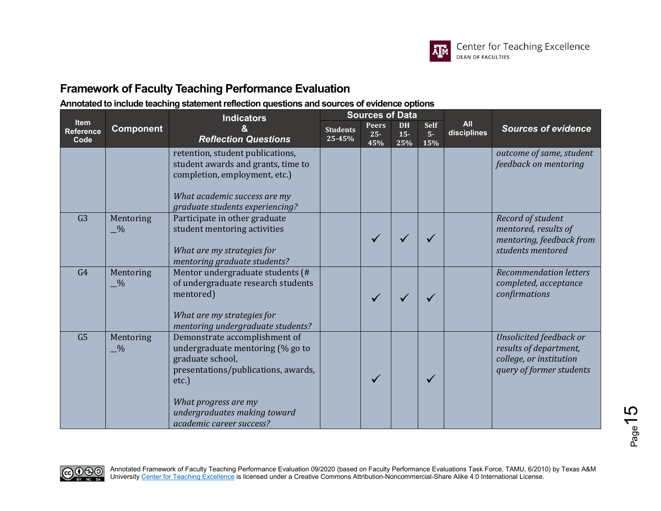

|                                  |                                 | <b>Indicators</b>                                                                                                                                                                                                         | <b>Sources of Data</b>    |                               |                            |                             |                           |                                                                                                          |
|----------------------------------|---------------------------------|---------------------------------------------------------------------------------------------------------------------------------------------------------------------------------------------------------------------------|---------------------------|-------------------------------|----------------------------|-----------------------------|---------------------------|----------------------------------------------------------------------------------------------------------|
| Item<br><b>Reference</b><br>Code | <b>Component</b>                | <b>Reflection Questions</b>                                                                                                                                                                                               | <b>Students</b><br>25-45% | <b>Peers</b><br>$25 -$<br>45% | <b>DH</b><br>$15 -$<br>25% | <b>Self</b><br>$5 -$<br>15% | <b>All</b><br>disciplines | <b>Sources of evidence</b>                                                                               |
|                                  |                                 | retention, student publications,<br>student awards and grants, time to<br>completion, employment, etc.)<br>What academic success are my<br>graduate students experiencing?                                                |                           |                               |                            |                             |                           | outcome of same, student<br>feedback on mentoring                                                        |
| G <sub>3</sub>                   | Mentoring<br>$-$ %              | Participate in other graduate<br>student mentoring activities<br>What are my strategies for<br>mentoring graduate students?                                                                                               |                           |                               |                            |                             |                           | Record of student<br>mentored, results of<br>mentoring, feedback from<br>students mentored               |
| G <sub>4</sub>                   | Mentoring<br>$-$ %              | Mentor undergraduate students (#<br>of undergraduate research students<br>mentored)<br>What are my strategies for<br>mentoring undergraduate students?                                                                    |                           |                               |                            |                             |                           | <b>Recommendation letters</b><br>completed, acceptance<br>confirmations                                  |
| G5                               | Mentoring<br>$-$ <sup>0</sup> % | Demonstrate accomplishment of<br>undergraduate mentoring (% go to<br>graduate school,<br>presentations/publications, awards,<br>etc.)<br>What progress are my<br>undergraduates making toward<br>academic career success? |                           |                               |                            |                             |                           | Unsolicited feedback or<br>results of department,<br>college, or institution<br>query of former students |